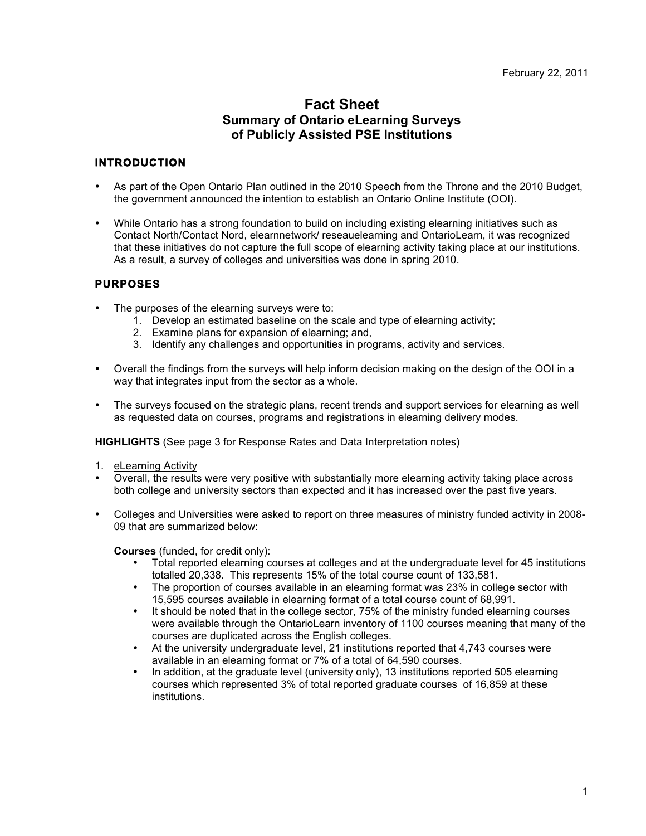# **Fact Sheet Summary of Ontario eLearning Surveys of Publicly Assisted PSE Institutions**

# **INTRODUCTION**

- As part of the Open Ontario Plan outlined in the 2010 Speech from the Throne and the 2010 Budget, the government announced the intention to establish an Ontario Online Institute (OOI).
- While Ontario has a strong foundation to build on including existing elearning initiatives such as Contact North/Contact Nord, elearnnetwork/ reseauelearning and OntarioLearn, it was recognized that these initiatives do not capture the full scope of elearning activity taking place at our institutions. As a result, a survey of colleges and universities was done in spring 2010.

# **PURPOSES**

- The purposes of the elearning surveys were to:
	- 1. Develop an estimated baseline on the scale and type of elearning activity;
	- 2. Examine plans for expansion of elearning; and,
	- 3. Identify any challenges and opportunities in programs, activity and services.
- Overall the findings from the surveys will help inform decision making on the design of the OOI in a way that integrates input from the sector as a whole.
- The surveys focused on the strategic plans, recent trends and support services for elearning as well as requested data on courses, programs and registrations in elearning delivery modes.

**HIGHLIGHTS** (See page 3 for Response Rates and Data Interpretation notes)

- 1. eLearning Activity
- Overall, the results were very positive with substantially more elearning activity taking place across both college and university sectors than expected and it has increased over the past five years.
- Colleges and Universities were asked to report on three measures of ministry funded activity in 2008- 09 that are summarized below:

**Courses** (funded, for credit only):

- Total reported elearning courses at colleges and at the undergraduate level for 45 institutions totalled 20,338. This represents 15% of the total course count of 133,581.
- The proportion of courses available in an elearning format was 23% in college sector with 15,595 courses available in elearning format of a total course count of 68,991.
- It should be noted that in the college sector, 75% of the ministry funded elearning courses were available through the OntarioLearn inventory of 1100 courses meaning that many of the courses are duplicated across the English colleges.
- At the university undergraduate level, 21 institutions reported that 4,743 courses were available in an elearning format or 7% of a total of 64,590 courses.
- In addition, at the graduate level (university only), 13 institutions reported 505 elearning courses which represented 3% of total reported graduate courses of 16,859 at these institutions.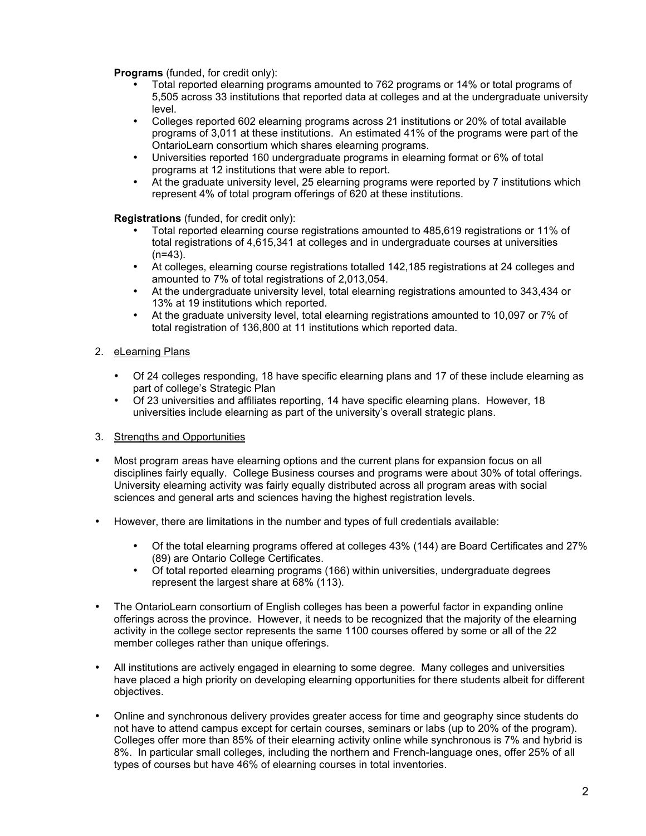**Programs** (funded, for credit only):

- Total reported elearning programs amounted to 762 programs or 14% or total programs of 5,505 across 33 institutions that reported data at colleges and at the undergraduate university level.
- Colleges reported 602 elearning programs across 21 institutions or 20% of total available programs of 3,011 at these institutions. An estimated 41% of the programs were part of the OntarioLearn consortium which shares elearning programs.
- Universities reported 160 undergraduate programs in elearning format or 6% of total programs at 12 institutions that were able to report.
- At the graduate university level, 25 elearning programs were reported by 7 institutions which represent 4% of total program offerings of 620 at these institutions.

**Registrations** (funded, for credit only):

- Total reported elearning course registrations amounted to 485,619 registrations or 11% of total registrations of 4,615,341 at colleges and in undergraduate courses at universities  $(n=43)$ .
- At colleges, elearning course registrations totalled 142,185 registrations at 24 colleges and amounted to 7% of total registrations of 2,013,054.
- At the undergraduate university level, total elearning registrations amounted to 343,434 or 13% at 19 institutions which reported.
- At the graduate university level, total elearning registrations amounted to 10,097 or 7% of total registration of 136,800 at 11 institutions which reported data.
- 2. eLearning Plans
	- Of 24 colleges responding, 18 have specific elearning plans and 17 of these include elearning as part of college's Strategic Plan
	- Of 23 universities and affiliates reporting, 14 have specific elearning plans. However, 18 universities include elearning as part of the university's overall strategic plans.
- 3. Strengths and Opportunities
- Most program areas have elearning options and the current plans for expansion focus on all disciplines fairly equally. College Business courses and programs were about 30% of total offerings. University elearning activity was fairly equally distributed across all program areas with social sciences and general arts and sciences having the highest registration levels.
- However, there are limitations in the number and types of full credentials available:
	- Of the total elearning programs offered at colleges 43% (144) are Board Certificates and 27% (89) are Ontario College Certificates.
	- Of total reported elearning programs (166) within universities, undergraduate degrees represent the largest share at 68% (113).
- The OntarioLearn consortium of English colleges has been a powerful factor in expanding online offerings across the province. However, it needs to be recognized that the majority of the elearning activity in the college sector represents the same 1100 courses offered by some or all of the 22 member colleges rather than unique offerings.
- All institutions are actively engaged in elearning to some degree. Many colleges and universities have placed a high priority on developing elearning opportunities for there students albeit for different objectives.
- Online and synchronous delivery provides greater access for time and geography since students do not have to attend campus except for certain courses, seminars or labs (up to 20% of the program). Colleges offer more than 85% of their elearning activity online while synchronous is 7% and hybrid is 8%. In particular small colleges, including the northern and French-language ones, offer 25% of all types of courses but have 46% of elearning courses in total inventories.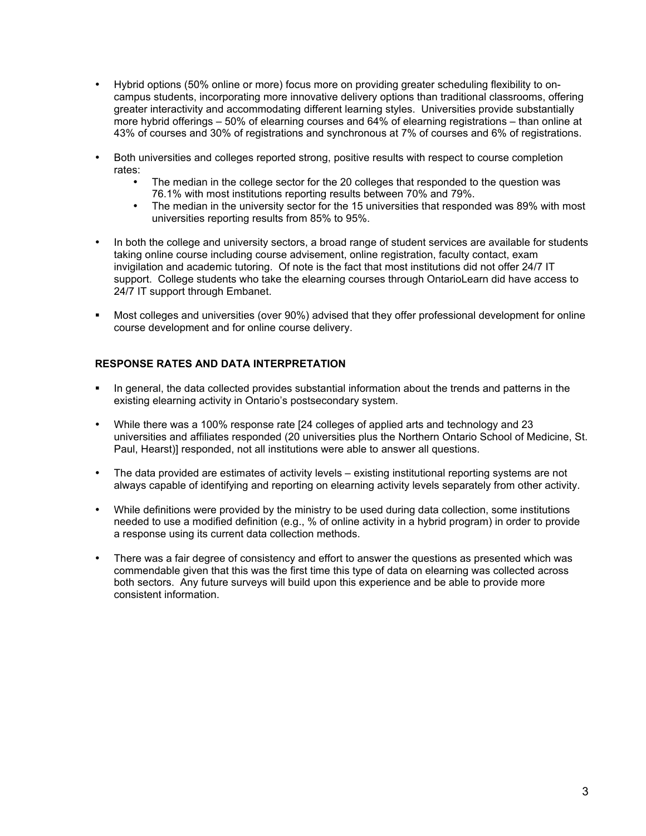- Hybrid options (50% online or more) focus more on providing greater scheduling flexibility to oncampus students, incorporating more innovative delivery options than traditional classrooms, offering greater interactivity and accommodating different learning styles. Universities provide substantially more hybrid offerings – 50% of elearning courses and 64% of elearning registrations – than online at 43% of courses and 30% of registrations and synchronous at 7% of courses and 6% of registrations.
- Both universities and colleges reported strong, positive results with respect to course completion rates:
	- The median in the college sector for the 20 colleges that responded to the question was 76.1% with most institutions reporting results between 70% and 79%.
	- The median in the university sector for the 15 universities that responded was 89% with most universities reporting results from 85% to 95%.
- In both the college and university sectors, a broad range of student services are available for students taking online course including course advisement, online registration, faculty contact, exam invigilation and academic tutoring. Of note is the fact that most institutions did not offer 24/7 IT support. College students who take the elearning courses through OntarioLearn did have access to 24/7 IT support through Embanet.
- Most colleges and universities (over 90%) advised that they offer professional development for online course development and for online course delivery.

## **RESPONSE RATES AND DATA INTERPRETATION**

- In general, the data collected provides substantial information about the trends and patterns in the existing elearning activity in Ontario's postsecondary system.
- While there was a 100% response rate [24 colleges of applied arts and technology and 23 universities and affiliates responded (20 universities plus the Northern Ontario School of Medicine, St. Paul, Hearst)] responded, not all institutions were able to answer all questions.
- The data provided are estimates of activity levels existing institutional reporting systems are not always capable of identifying and reporting on elearning activity levels separately from other activity.
- While definitions were provided by the ministry to be used during data collection, some institutions needed to use a modified definition (e.g., % of online activity in a hybrid program) in order to provide a response using its current data collection methods.
- There was a fair degree of consistency and effort to answer the questions as presented which was commendable given that this was the first time this type of data on elearning was collected across both sectors. Any future surveys will build upon this experience and be able to provide more consistent information.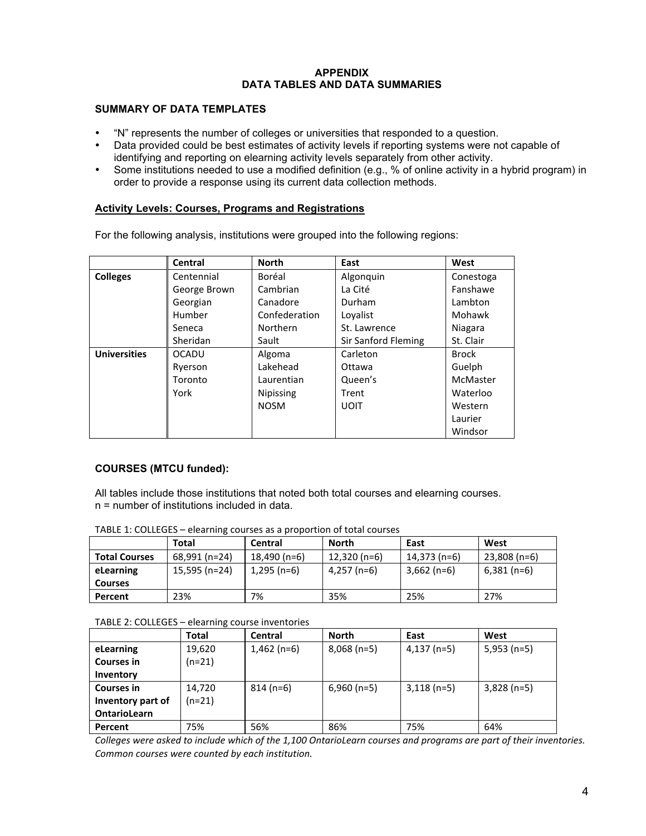## **APPENDIX DATA TABLES AND DATA SUMMARIES**

## **SUMMARY OF DATA TEMPLATES**

- "N" represents the number of colleges or universities that responded to a question.
- Data provided could be best estimates of activity levels if reporting systems were not capable of identifying and reporting on elearning activity levels separately from other activity.
- Some institutions needed to use a modified definition (e.g., % of online activity in a hybrid program) in order to provide a response using its current data collection methods.

### **Activity Levels: Courses, Programs and Registrations**

For the following analysis, institutions were grouped into the following regions:

|                     | <b>Central</b> | <b>North</b>     | East                | West         |
|---------------------|----------------|------------------|---------------------|--------------|
| <b>Colleges</b>     | Centennial     | Boréal           | Algonquin           | Conestoga    |
|                     | George Brown   | Cambrian         | La Cité             | Fanshawe     |
|                     | Georgian       | Canadore         | Durham              | Lambton      |
|                     | Humber         | Confederation    | Lovalist            | Mohawk       |
|                     | Seneca         | <b>Northern</b>  | St. Lawrence        | Niagara      |
|                     | Sheridan       | Sault            | Sir Sanford Fleming | St. Clair    |
| <b>Universities</b> | <b>OCADU</b>   | Algoma           | Carleton            | <b>Brock</b> |
|                     | Ryerson        | Lakehead         | Ottawa              | Guelph       |
|                     | Toronto        | Laurentian       | Queen's             | McMaster     |
|                     | York           | <b>Nipissing</b> | Trent               | Waterloo     |
|                     |                | <b>NOSM</b>      | <b>UOIT</b>         | Western      |
|                     |                |                  |                     | Laurier      |
|                     |                |                  |                     | Windsor      |

## **COURSES (MTCU funded):**

All tables include those institutions that noted both total courses and elearning courses. n = number of institutions included in data.

| TABLE 1: COLLEGES - elearning courses as a proportion of total courses |  |
|------------------------------------------------------------------------|--|
|------------------------------------------------------------------------|--|

|                      | Total         | Central        | North         | East          | West         |
|----------------------|---------------|----------------|---------------|---------------|--------------|
| <b>Total Courses</b> | 68,991 (n=24) | $18,490$ (n=6) | $12,320(n=6)$ | 14,373 (n=6)  | 23,808 (n=6) |
| eLearning            | 15,595 (n=24) | 1,295 (n=6)    | 4,257 (n=6)   | $3,662$ (n=6) | $6,381(n=6)$ |
| <b>Courses</b>       |               |                |               |               |              |
| Percent              | 23%           | 7%             | 35%           | 25%           | 27%          |

#### TABLE 2: COLLEGES – elearning course inventories

|                     | Total    | Central       | <b>North</b>  | East          | West          |
|---------------------|----------|---------------|---------------|---------------|---------------|
| eLearning           | 19,620   | $1,462$ (n=6) | $8,068$ (n=5) | $4,137$ (n=5) | $5,953$ (n=5) |
| <b>Courses in</b>   | $(n=21)$ |               |               |               |               |
| Inventory           |          |               |               |               |               |
| <b>Courses in</b>   | 14,720   | $814(n=6)$    | $6,960(n=5)$  | $3,118(n=5)$  | $3,828$ (n=5) |
| Inventory part of   | $(n=21)$ |               |               |               |               |
| <b>OntarioLearn</b> |          |               |               |               |               |
| Percent             | 75%      | 56%           | 86%           | 75%           | 64%           |

*Colleges'were'asked'to'include'which'of'the'1,100'OntarioLearn'courses'and'programs'are'part'of'their'inventories.' Common'courses'were'counted'by'each'institution.*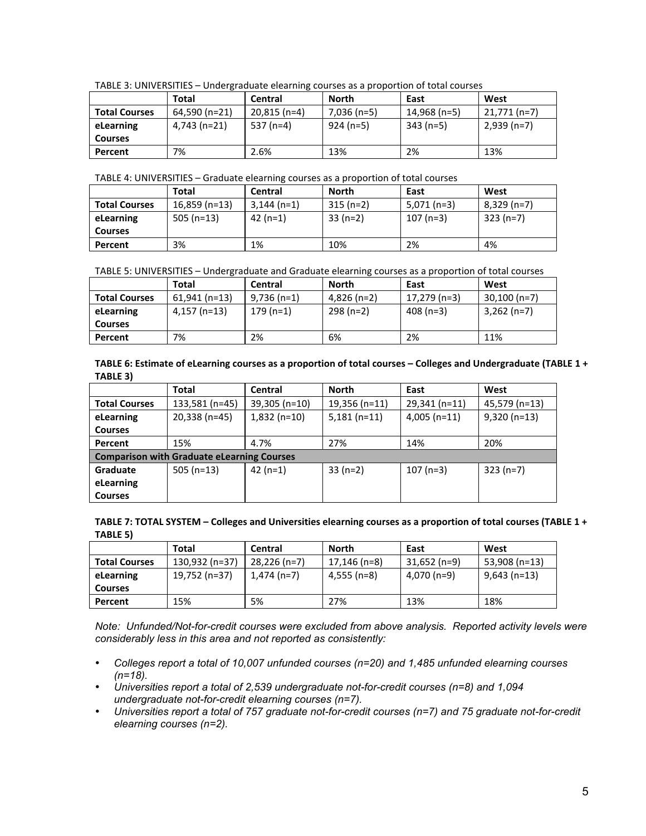|  | TABLE 3: UNIVERSITIES - Undergraduate elearning courses as a proportion of total courses |
|--|------------------------------------------------------------------------------------------|
|  |                                                                                          |

|                      | <b>Total</b>  | Central       | North       | East         | West         |
|----------------------|---------------|---------------|-------------|--------------|--------------|
| <b>Total Courses</b> | 64,590 (n=21) | $20.815(n=4)$ | 7,036 (n=5) | 14,968 (n=5) | 21.771 (n=7) |
| eLearning            | 4,743 (n=21)  | 537 (n=4)     | 924 (n=5)   | $343(n=5)$   | $2,939(n=7)$ |
| <b>Courses</b>       |               |               |             |              |              |
| Percent              | 7%            | 2.6%          | 13%         | 2%           | 13%          |

TABLE 4: UNIVERSITIES – Graduate elearning courses as a proportion of total courses

|                      | Total           | Central      | North      | East          | West        |
|----------------------|-----------------|--------------|------------|---------------|-------------|
| <b>Total Courses</b> | $16,859$ (n=13) | $3,144(n=1)$ | $315(n=2)$ | $5,071$ (n=3) | 8,329 (n=7) |
| eLearning            | 505 $(n=13)$    | 42 (n=1)     | $33(n=2)$  | $107(n=3)$    | $323(n=7)$  |
| <b>Courses</b>       |                 |              |            |               |             |
| Percent              | 3%              | 1%           | 10%        | 2%            | 4%          |

TABLE 5: UNIVERSITIES - Undergraduate and Graduate elearning courses as a proportion of total courses

|                      | Total          | Central       | <b>North</b>  | East         | West           |
|----------------------|----------------|---------------|---------------|--------------|----------------|
| <b>Total Courses</b> | $61.941(n=13)$ | $9,736$ (n=1) | $4,826$ (n=2) | 17.279 (n=3) | $30,100$ (n=7) |
| eLearning            | 4,157 (n=13)   | 179 (n=1)     | $298(n=2)$    | 408 (n=3)    | $3,262$ (n=7)  |
| <b>Courses</b>       |                |               |               |              |                |
| Percent              | 7%             | 2%            | 6%            | 2%           | 11%            |

TABLE 6: Estimate of eLearning courses as a proportion of total courses – Colleges and Undergraduate (TABLE 1 + **TABLE(3)**

|                                                   | Total          | Central         | <b>North</b>  | East            | West          |  |
|---------------------------------------------------|----------------|-----------------|---------------|-----------------|---------------|--|
| <b>Total Courses</b>                              | 133,581 (n=45) | $39,305$ (n=10) | 19,356 (n=11) | $29,341$ (n=11) | 45,579 (n=13) |  |
| eLearning                                         | $20,338(n=45)$ | $1,832$ (n=10)  | $5,181(n=11)$ | $4,005$ (n=11)  | $9,320(n=13)$ |  |
| <b>Courses</b>                                    |                |                 |               |                 |               |  |
| Percent                                           | 15%            | 4.7%            | 27%           | 14%             | 20%           |  |
| <b>Comparison with Graduate eLearning Courses</b> |                |                 |               |                 |               |  |
| Graduate                                          | 505 $(n=13)$   | $42(n=1)$       | $33(n=2)$     | $107(n=3)$      | $323(n=7)$    |  |
| eLearning                                         |                |                 |               |                 |               |  |
| <b>Courses</b>                                    |                |                 |               |                 |               |  |

TABLE 7: TOTAL SYSTEM – Colleges and Universities elearning courses as a proportion of total courses (TABLE 1 + **TABLE 5)** 

|                      | Total          | l Central                | <b>North</b> | East           | West           |
|----------------------|----------------|--------------------------|--------------|----------------|----------------|
| <b>Total Courses</b> | 130,932 (n=37) | $\parallel$ 28.226 (n=7) | 17,146 (n=8) | $31,652$ (n=9) | 53,908 (n=13)  |
| eLearning            | 19,752 (n=37)  | $\parallel$ 1,474 (n=7)  | 4,555 (n=8)  | 4,070 (n=9)    | $9,643$ (n=13) |
| <b>Courses</b>       |                |                          |              |                |                |
| Percent              | 15%            | 5%                       | 27%          | 13%            | 18%            |

*Note: Unfunded/Not-for-credit courses were excluded from above analysis. Reported activity levels were considerably less in this area and not reported as consistently:*

- *Colleges report a total of 10,007 unfunded courses (n=20) and 1,485 unfunded elearning courses (n=18).*
- *Universities report a total of 2,539 undergraduate not-for-credit courses (n=8) and 1,094 undergraduate not-for-credit elearning courses (n=7).*
- *Universities report a total of 757 graduate not-for-credit courses (n=7) and 75 graduate not-for-credit elearning courses (n=2).*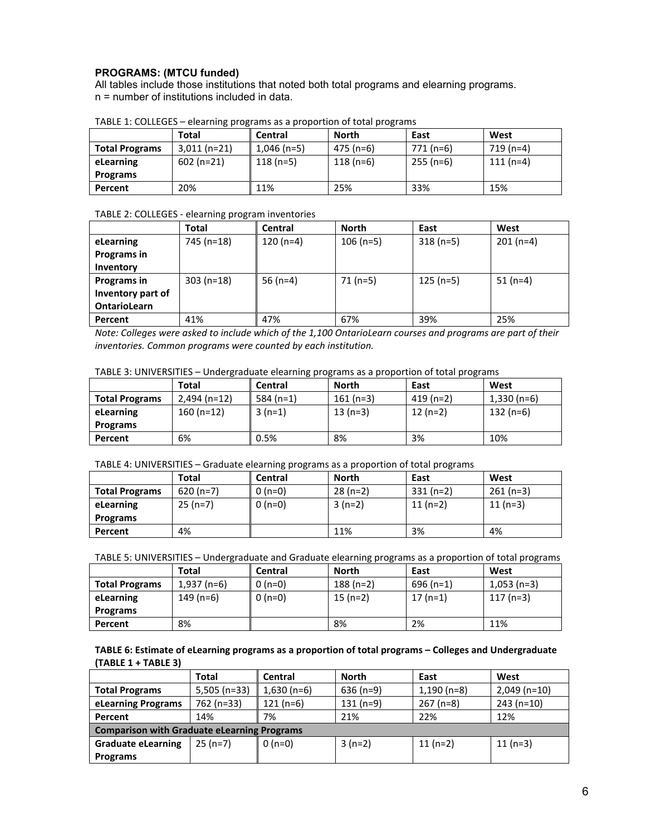## **PROGRAMS: (MTCU funded)**

All tables include those institutions that noted both total programs and elearning programs. n = number of institutions included in data.

|                       | Total         | <b>Central</b> | <b>North</b> | East       | West       |
|-----------------------|---------------|----------------|--------------|------------|------------|
| <b>Total Programs</b> | $3,011(n=21)$ | $1,046$ (n=5)  | 475 (n=6)    | 771 (n=6)  | $719(n=4)$ |
| eLearning             | $602$ (n=21)  | $118(n=5)$     | $118(n=6)$   | $255(n=6)$ | $111(n=4)$ |
| <b>Programs</b>       |               |                |              |            |            |
| Percent               | 20%           | 11%            | 25%          | 33%        | 15%        |

TABLE 1: COLLEGES – elearning programs as a proportion of total programs

#### TABLE 2: COLLEGES - elearning program inventories

|                     | Total       | Central    | <b>North</b> | East       | West       |
|---------------------|-------------|------------|--------------|------------|------------|
| eLearning           | 745 (n=18)  | $120(n=4)$ | $106$ (n=5)  | $318(n=5)$ | $201(n=4)$ |
| Programs in         |             |            |              |            |            |
| Inventory           |             |            |              |            |            |
| Programs in         | $303(n=18)$ | 56 $(n=4)$ | $71(n=5)$    | $125(n=5)$ | $51(n=4)$  |
| Inventory part of   |             |            |              |            |            |
| <b>OntarioLearn</b> |             |            |              |            |            |
| Percent             | 41%         | 47%        | 67%          | 39%        | 25%        |

*Note:'Colleges'were'asked'to'include'which'of'the'1,100'OntarioLearn'courses'and'programs'are'part'of'their' inventories.'Common'programs'were'counted'by'each'institution.*

#### TABLE 3: UNIVERSITIES – Undergraduate elearning programs as a proportion of total programs

|                       | Total         | Central     | North      | East       | West         |
|-----------------------|---------------|-------------|------------|------------|--------------|
| <b>Total Programs</b> | $2.494(n=12)$ | 584 $(n=1)$ | $161(n=3)$ | $419(n=2)$ | $1,330(n=6)$ |
| eLearning             | $160(n=12)$   | $3(n=1)$    | $13(n=3)$  | $12(n=2)$  | $132(n=6)$   |
| <b>Programs</b>       |               |             |            |            |              |
| Percent               | 6%            | 0.5%        | 8%         | 3%         | 10%          |

### TABLE 4: UNIVERSITIES – Graduate elearning programs as a proportion of total programs

|                       | <b>Total</b> | Central  | North     | East       | West       |
|-----------------------|--------------|----------|-----------|------------|------------|
| <b>Total Programs</b> | $620(n=7)$   | $0(n=0)$ | $28(n=2)$ | $331(n=2)$ | $261(n=3)$ |
| eLearning             | $25(n=7)$    | $0(n=0)$ | $3(n=2)$  | $11(n=2)$  | $11(n=3)$  |
| Programs              |              |          |           |            |            |
| Percent               | 4%           |          | 11%       | 3%         | 4%         |

TABLE 5: UNIVERSITIES – Undergraduate and Graduate elearning programs as a proportion of total programs

|                       | Total        | <b>Central</b> | <b>North</b> | East       | West          |
|-----------------------|--------------|----------------|--------------|------------|---------------|
| <b>Total Programs</b> | $1.937(n=6)$ | 0 (n=0)        | $188(n=2)$   | $696(n=1)$ | $1,053$ (n=3) |
| eLearning             | $149(n=6)$   | $0(n=0)$       | $15(n=2)$    | $17(n=1)$  | 117 (n=3)     |
| <b>Programs</b>       |              |                |              |            |               |
| Percent               | 8%           |                | 8%           | 2%         | 11%           |

TABLE 6: Estimate of eLearning programs as a proportion of total programs - Colleges and Undergraduate **(TABLE(1(+(TABLE(3)**

|                                                    | Total          | Central      | <b>North</b> | East          | West           |  |
|----------------------------------------------------|----------------|--------------|--------------|---------------|----------------|--|
| <b>Total Programs</b>                              | $5,505$ (n=33) | $1,630(n=6)$ | $636(n=9)$   | $1,190$ (n=8) | $2,049$ (n=10) |  |
| eLearning Programs                                 | 762 (n=33)     | 121 (n=6)    | $131(n=9)$   | $267$ (n=8)   | $243(n=10)$    |  |
| Percent                                            | 14%            | 7%           | 21%          | 22%           | 12%            |  |
| <b>Comparison with Graduate eLearning Programs</b> |                |              |              |               |                |  |
| <b>Graduate eLearning</b>                          | $25(n=7)$      | $0(n=0)$     | $3(n=2)$     | $11(n=2)$     | $11(n=3)$      |  |
| Programs                                           |                |              |              |               |                |  |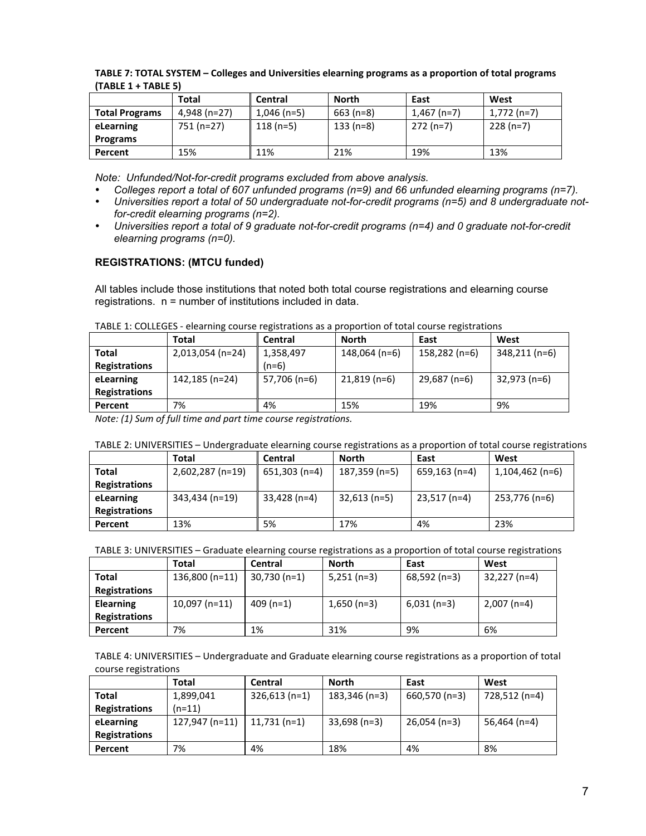| 10066 1 10066 JI      |               |             |             |              |               |
|-----------------------|---------------|-------------|-------------|--------------|---------------|
|                       | Total         | Central     | North       | East         | West          |
| <b>Total Programs</b> | $4.948(n=27)$ | 1,046 (n=5) | $663$ (n=8) | $1.467(n=7)$ | $1,772$ (n=7) |
| eLearning             | 751 (n=27)    | $118(n=5)$  | $133(n=8)$  | 272 (n=7)    | $228(n=7)$    |
| Programs              |               |             |             |              |               |
| Percent               | 15%           | 11%         | 21%         | 19%          | 13%           |

TABLE 7: TOTAL SYSTEM – Colleges and Universities elearning programs as a proportion of total programs  $(TAR)$  $F(1+TAR)$  $F(5)$ 

*Note: Unfunded/Not-for-credit programs excluded from above analysis.*

- *Colleges report a total of 607 unfunded programs (n=9) and 66 unfunded elearning programs (n=7).*
- *Universities report a total of 50 undergraduate not-for-credit programs (n=5) and 8 undergraduate notfor-credit elearning programs (n=2).*
- *Universities report a total of 9 graduate not-for-credit programs (n=4) and 0 graduate not-for-credit elearning programs (n=0).*

## **REGISTRATIONS: (MTCU funded)**

All tables include those institutions that noted both total course registrations and elearning course registrations. n = number of institutions included in data.

|                      | Total            | Central      | North          | East          | West          |
|----------------------|------------------|--------------|----------------|---------------|---------------|
| <b>Total</b>         | 2,013,054 (n=24) | 1,358,497    | 148,064 (n=6)  | 158,282 (n=6) | 348,211 (n=6) |
| <b>Registrations</b> |                  | $(n=6)$      |                |               |               |
| eLearning            | 142,185 (n=24)   | 57,706 (n=6) | $21,819$ (n=6) | 29,687 (n=6)  | 32,973 (n=6)  |
| <b>Registrations</b> |                  |              |                |               |               |
| Percent              | 7%               | 4%           | 15%            | 19%           | 9%            |

TABLE 1: COLLEGES - elearning course registrations as a proportion of total course registrations

*Note: (1) Sum of full time and part time course registrations.* 

### TABLE 2: UNIVERSITIES – Undergraduate elearning course registrations as a proportion of total course registrations

|                      | Total            | Central        | North          | East          | West            |
|----------------------|------------------|----------------|----------------|---------------|-----------------|
| Total                | 2,602,287 (n=19) | 651,303 (n=4)  | 187,359 (n=5)  | 659,163 (n=4) | 1,104,462 (n=6) |
| <b>Registrations</b> |                  |                |                |               |                 |
| eLearning            | 343,434 (n=19)   | $33,428$ (n=4) | $32,613$ (n=5) | 23,517 (n=4)  | 253,776 (n=6)   |
| <b>Registrations</b> |                  |                |                |               |                 |
| Percent              | 13%              | 5%             | 17%            | 4%            | 23%             |

#### TABLE 3: UNIVERSITIES – Graduate elearning course registrations as a proportion of total course registrations

|                      | Total           | Central                  | <b>North</b>  | East          | West          |
|----------------------|-----------------|--------------------------|---------------|---------------|---------------|
| Total                | 136,800 (n=11)  | $\parallel$ 30,730 (n=1) | $5,251$ (n=3) | 68,592 (n=3)  | 32,227 (n=4)  |
| <b>Registrations</b> |                 |                          |               |               |               |
| <b>Elearning</b>     | $10,097$ (n=11) | 409 (n=1)                | $1,650(n=3)$  | $6,031$ (n=3) | $2,007$ (n=4) |
| <b>Registrations</b> |                 |                          |               |               |               |
| Percent              | 7%              | 1%                       | 31%           | 9%            | 6%            |

TABLE 4: UNIVERSITIES – Undergraduate and Graduate elearning course registrations as a proportion of total course registrations

|                      | Total                         | Central        | North           | East           | West          |
|----------------------|-------------------------------|----------------|-----------------|----------------|---------------|
| <b>Total</b>         | 1,899,041                     | $326,613(n=1)$ | $183,346$ (n=3) | 660,570 (n=3)  | 728,512 (n=4) |
| <b>Registrations</b> | $(n=11)$                      |                |                 |                |               |
| eLearning            | 127,947 (n=11)   11,731 (n=1) |                | $33,698$ (n=3)  | $26,054$ (n=3) | 56,464 (n=4)  |
| <b>Registrations</b> |                               |                |                 |                |               |
| Percent              | 7%                            | 4%             | 18%             | 4%             | 8%            |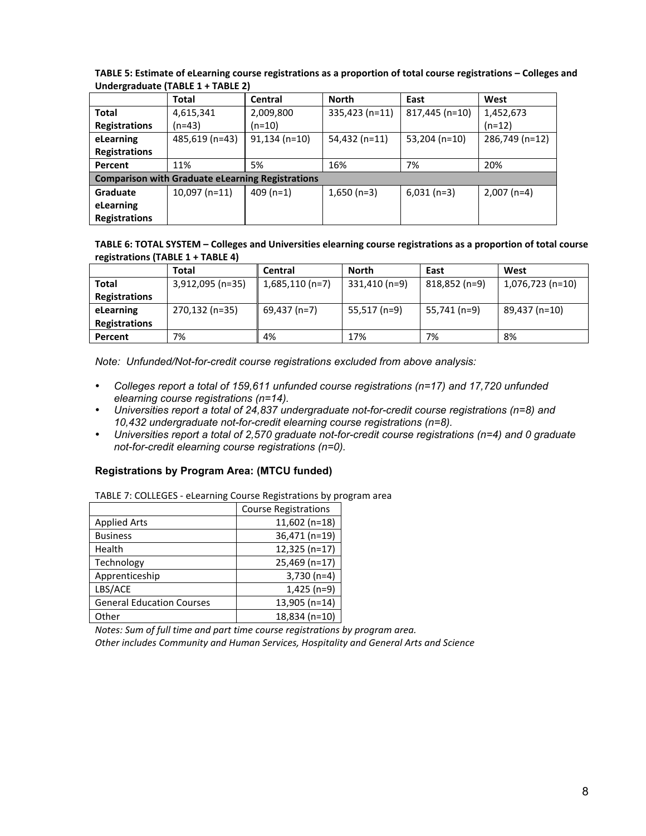|                                                         | Total           | Central         | <b>North</b>    | East            | West           |  |
|---------------------------------------------------------|-----------------|-----------------|-----------------|-----------------|----------------|--|
| <b>Total</b>                                            | 4,615,341       | 2,009,800       | 335,423 (n=11)  | 817,445 (n=10)  | 1,452,673      |  |
| <b>Registrations</b>                                    | (n=43)          | $(n=10)$        |                 |                 | $(n=12)$       |  |
| eLearning                                               | 485,619 (n=43)  | $91,134$ (n=10) | $54,432$ (n=11) | $53,204$ (n=10) | 286,749 (n=12) |  |
| <b>Registrations</b>                                    |                 |                 |                 |                 |                |  |
| Percent                                                 | 11%             | 5%              | 16%             | 7%              | 20%            |  |
| <b>Comparison with Graduate eLearning Registrations</b> |                 |                 |                 |                 |                |  |
| Graduate                                                | $10,097$ (n=11) | $409(n=1)$      | $1,650(n=3)$    | $6,031$ (n=3)   | $2,007$ (n=4)  |  |
| eLearning                                               |                 |                 |                 |                 |                |  |
| <b>Registrations</b>                                    |                 |                 |                 |                 |                |  |

TABLE 5: Estimate of eLearning course registrations as a proportion of total course registrations - Colleges and **Undergraduate (TABLE 1 + TABLE 2)** 

TABLE 6: TOTAL SYSTEM – Colleges and Universities elearning course registrations as a proportion of total course **registrations (TABLE 1 + TABLE 4)** 

|                      | Total            | Central          | <b>North</b>  | East          | West             |
|----------------------|------------------|------------------|---------------|---------------|------------------|
| <b>Total</b>         | 3,912,095 (n=35) | $1,685,110(n=7)$ | 331,410 (n=9) | 818,852 (n=9) | 1,076,723 (n=10) |
| <b>Registrations</b> |                  |                  |               |               |                  |
| eLearning            | 270,132 (n=35)   | 69,437 (n=7)     | 55,517 (n=9)  | 55,741 (n=9)  | 89,437 (n=10)    |
| <b>Registrations</b> |                  |                  |               |               |                  |
| Percent              | 7%               | 4%               | 17%           | 7%            | 8%               |

*Note: Unfunded/Not-for-credit course registrations excluded from above analysis:*

- *Colleges report a total of 159,611 unfunded course registrations (n=17) and 17,720 unfunded elearning course registrations (n=14).*
- *Universities report a total of 24,837 undergraduate not-for-credit course registrations (n=8) and 10,432 undergraduate not-for-credit elearning course registrations (n=8).*
- *Universities report a total of 2,570 graduate not-for-credit course registrations (n=4) and 0 graduate not-for-credit elearning course registrations (n=0).*

## **Registrations by Program Area: (MTCU funded)**

TABLE 7: COLLEGES - eLearning Course Registrations by program area

|                                  | <b>Course Registrations</b> |
|----------------------------------|-----------------------------|
| <b>Applied Arts</b>              | $11,602$ (n=18)             |
| <b>Business</b>                  | 36,471 (n=19)               |
| Health                           | 12,325 (n=17)               |
| Technology                       | 25,469 (n=17)               |
| Apprenticeship                   | $3,730(n=4)$                |
| LBS/ACE                          | $1,425$ (n=9)               |
| <b>General Education Courses</b> | 13,905 (n=14)               |
| Other                            | 18,834 (n=10)               |

*Notes: Sum of full time and part time course registrations by program area.* 

Other includes Community and Human Services, Hospitality and General Arts and Science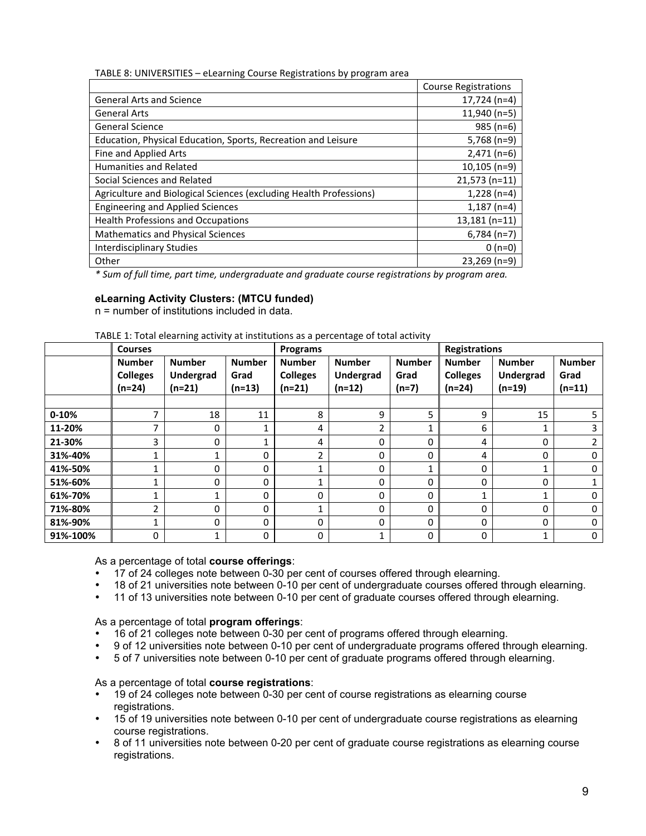TABLE 8: UNIVERSITIES – eLearning Course Registrations by program area

|                                                                    | <b>Course Registrations</b> |
|--------------------------------------------------------------------|-----------------------------|
| <b>General Arts and Science</b>                                    | $17,724$ (n=4)              |
| <b>General Arts</b>                                                | $11,940$ (n=5)              |
| <b>General Science</b>                                             | $985(n=6)$                  |
| Education, Physical Education, Sports, Recreation and Leisure      | $5,768$ (n=9)               |
| Fine and Applied Arts                                              | $2,471$ (n=6)               |
| Humanities and Related                                             | $10,105$ (n=9)              |
| Social Sciences and Related                                        | $21,573$ (n=11)             |
| Agriculture and Biological Sciences (excluding Health Professions) | $1,228$ (n=4)               |
| <b>Engineering and Applied Sciences</b>                            | $1,187$ (n=4)               |
| <b>Health Professions and Occupations</b>                          | $13,181$ (n=11)             |
| <b>Mathematics and Physical Sciences</b>                           | $6,784$ (n=7)               |
| Interdisciplinary Studies                                          | $0(n=0)$                    |
| Other                                                              | $23,269$ (n=9)              |

*\*'Sum'of'full'time,'part'time,'undergraduate'and'graduate'course'registrations'by'program'area.*

### **eLearning Activity Clusters: (MTCU funded)**

n = number of institutions included in data.

|           | <b>Courses</b>                             |                                        |                                   | Programs                                     |                                        |                                  | <b>Registrations</b>                       |                                        |                                   |
|-----------|--------------------------------------------|----------------------------------------|-----------------------------------|----------------------------------------------|----------------------------------------|----------------------------------|--------------------------------------------|----------------------------------------|-----------------------------------|
|           | <b>Number</b><br><b>Colleges</b><br>(n=24) | <b>Number</b><br>Undergrad<br>$(n=21)$ | <b>Number</b><br>Grad<br>$(n=13)$ | <b>Number</b><br><b>Colleges</b><br>$(n=21)$ | <b>Number</b><br>Undergrad<br>$(n=12)$ | <b>Number</b><br>Grad<br>$(n=7)$ | <b>Number</b><br><b>Colleges</b><br>(n=24) | <b>Number</b><br>Undergrad<br>$(n=19)$ | <b>Number</b><br>Grad<br>$(n=11)$ |
|           |                                            |                                        |                                   |                                              |                                        |                                  |                                            |                                        |                                   |
| $0 - 10%$ | ⇁                                          | 18                                     | 11                                | 8                                            | 9                                      | 5                                | 9                                          | 15                                     | 5                                 |
| 11-20%    | ⇁                                          | 0                                      |                                   | 4                                            | 2                                      |                                  | 6                                          |                                        | 3                                 |
| 21-30%    | 3                                          | 0                                      |                                   | 4                                            | 0                                      | 0                                | 4                                          | 0                                      | 2                                 |
| 31%-40%   |                                            |                                        | $\Omega$                          | C.                                           | 0                                      | 0                                | 4                                          | 0                                      | $\mathbf{0}$                      |
| 41%-50%   | 4                                          | 0                                      | 0                                 |                                              | 0                                      |                                  | $\Omega$                                   | ◢                                      | 0                                 |
| 51%-60%   | 4                                          | 0                                      | $\Omega$                          |                                              | 0                                      | 0                                | $\Omega$                                   | $\Omega$                               |                                   |
| 61%-70%   |                                            |                                        | $\Omega$                          | 0                                            | 0                                      | 0                                | и                                          |                                        | 0                                 |
| 71%-80%   | C.                                         | 0                                      | 0                                 |                                              | 0                                      | 0                                | $\Omega$                                   | 0                                      | 0                                 |
| 81%-90%   | 1                                          | 0                                      | $\Omega$                          | 0                                            | 0                                      | 0                                | $\Omega$                                   | $\Omega$                               | 0                                 |
| 91%-100%  | 0                                          | 1                                      | 0                                 | 0                                            |                                        | 0                                | 0                                          |                                        | 0                                 |

As a percentage of total **course offerings**:

- 17 of 24 colleges note between 0-30 per cent of courses offered through elearning.<br>• 18 of 21 universities note between 0.10 per cent of undergraduate courses offered.
- 18 of 21 universities note between 0-10 per cent of undergraduate courses offered through elearning.<br>• 11 of 13 universities note between 0-10 per cent of graduate courses offered through elearning
- 11 of 13 universities note between 0-10 per cent of graduate courses offered through elearning.

As a percentage of total **program offerings**:

- 16 of 21 colleges note between 0-30 per cent of programs offered through elearning.
- 9 of 12 universities note between 0-10 per cent of undergraduate programs offered through elearning.
- 5 of 7 universities note between 0-10 per cent of graduate programs offered through elearning.

As a percentage of total **course registrations**:

- 19 of 24 colleges note between 0-30 per cent of course registrations as elearning course registrations.
- 15 of 19 universities note between 0-10 per cent of undergraduate course registrations as elearning course registrations.
- 8 of 11 universities note between 0-20 per cent of graduate course registrations as elearning course registrations.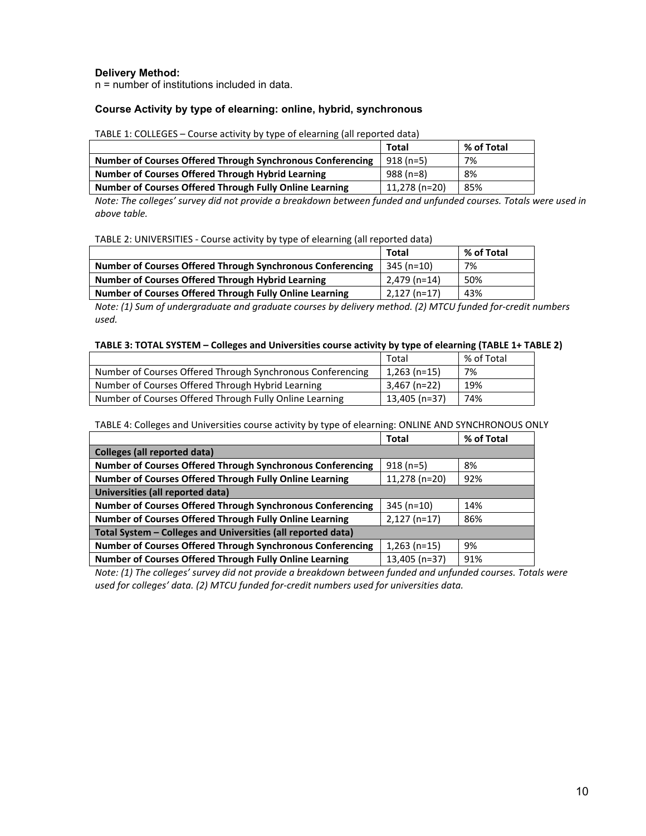### **Delivery Method:**

n = number of institutions included in data.

#### **Course Activity by type of elearning: online, hybrid, synchronous**

TABLE 1: COLLEGES – Course activity by type of elearning (all reported data)

|                                                            | Total          | % of Total |
|------------------------------------------------------------|----------------|------------|
| Number of Courses Offered Through Synchronous Conferencing | $918(n=5)$     | 7%         |
| Number of Courses Offered Through Hybrid Learning          | $988(n=8)$     | 8%         |
| Number of Courses Offered Through Fully Online Learning    | $11.278(n=20)$ | 85%        |

*Note:'The'colleges''survey'did'not'provide'a'breakdown'between'funded'and'unfunded'courses.'Totals'were'used'in above'table.*

| TABLE 2: UNIVERSITIES - Course activity by type of elearning (all reported data) |  |  |  |
|----------------------------------------------------------------------------------|--|--|--|
|----------------------------------------------------------------------------------|--|--|--|

|                                                                   | Total          | % of Total |
|-------------------------------------------------------------------|----------------|------------|
| <b>Number of Courses Offered Through Synchronous Conferencing</b> | $345(n=10)$    | 7%         |
| Number of Courses Offered Through Hybrid Learning                 | $2.479(n=14)$  | 50%        |
| Number of Courses Offered Through Fully Online Learning           | $2,127$ (n=17) | 43%        |

*Note: (1) Sum of undergraduate and graduate courses by delivery method. (2) MTCU funded for-credit numbers used.*

#### TABLE 3: TOTAL SYSTEM – Colleges and Universities course activity by type of elearning (TABLE 1+ TABLE 2)

|                                                            | Total          | % of Total |
|------------------------------------------------------------|----------------|------------|
| Number of Courses Offered Through Synchronous Conferencing | $1,263$ (n=15) | 7%         |
| Number of Courses Offered Through Hybrid Learning          | 3,467 (n=22)   | 19%        |
| Number of Courses Offered Through Fully Online Learning    | 13,405 (n=37)  | 74%        |

TABLE 4: Colleges and Universities course activity by type of elearning: ONLINE AND SYNCHRONOUS ONLY

|                                                                   | <b>Total</b>   | % of Total |  |  |
|-------------------------------------------------------------------|----------------|------------|--|--|
| <b>Colleges (all reported data)</b>                               |                |            |  |  |
| <b>Number of Courses Offered Through Synchronous Conferencing</b> | $918(n=5)$     | 8%         |  |  |
| Number of Courses Offered Through Fully Online Learning           | 11,278 (n=20)  | 92%        |  |  |
| Universities (all reported data)                                  |                |            |  |  |
| Number of Courses Offered Through Synchronous Conferencing        | $345(n=10)$    | 14%        |  |  |
| Number of Courses Offered Through Fully Online Learning           | $2,127$ (n=17) | 86%        |  |  |
| Total System - Colleges and Universities (all reported data)      |                |            |  |  |
| <b>Number of Courses Offered Through Synchronous Conferencing</b> | $1,263$ (n=15) | 9%         |  |  |
| Number of Courses Offered Through Fully Online Learning           | 13,405 (n=37)  | 91%        |  |  |

*Note: (1) The colleges' survey did not provide a breakdown between funded and unfunded courses. Totals were* used for colleges' data. (2) MTCU funded for-credit numbers used for universities data.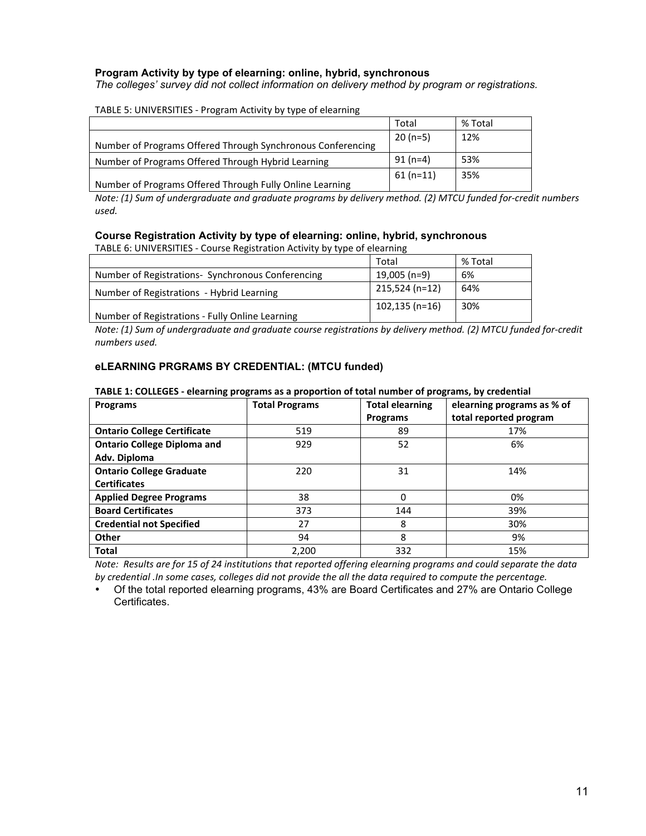## **Program Activity by type of elearning: online, hybrid, synchronous**

*The colleges' survey did not collect information on delivery method by program or registrations.*

### TABLE 5: UNIVERSITIES - Program Activity by type of elearning

|                                                             | Total      | % Total |
|-------------------------------------------------------------|------------|---------|
| Number of Programs Offered Through Synchronous Conferencing | $20(n=5)$  | 12%     |
| Number of Programs Offered Through Hybrid Learning          | $91(n=4)$  | 53%     |
| Number of Programs Offered Through Fully Online Learning    | $61(n=11)$ | 35%     |

*Note: (1) Sum of undergraduate and graduate programs by delivery method. (2) MTCU funded for-credit numbers used.*

## **Course Registration Activity by type of elearning: online, hybrid, synchronous**

TABLE 6: UNIVERSITIES - Course Registration Activity by type of elearning

|                                                   | Total             | % Total |
|---------------------------------------------------|-------------------|---------|
| Number of Registrations- Synchronous Conferencing | 19,005 (n=9)      | 6%      |
| Number of Registrations - Hybrid Learning         | 215,524 (n=12)    | 64%     |
| Number of Registrations - Fully Online Learning   | $102, 135$ (n=16) | 30%     |

*Note: (1) Sum of undergraduate and graduate course registrations by delivery method. (2) MTCU funded for-credit numbers'used.*

## **eLEARNING PRGRAMS BY CREDENTIAL: (MTCU funded)**

### TABLE 1: COLLEGES - elearning programs as a proportion of total number of programs, by credential

| Programs                           | <b>Total Programs</b> | <b>Total elearning</b> | elearning programs as % of |
|------------------------------------|-----------------------|------------------------|----------------------------|
|                                    |                       | <b>Programs</b>        | total reported program     |
| <b>Ontario College Certificate</b> | 519                   | 89                     | 17%                        |
| <b>Ontario College Diploma and</b> | 929                   | 52                     | 6%                         |
| Adv. Diploma                       |                       |                        |                            |
| <b>Ontario College Graduate</b>    | 220                   | 31                     | 14%                        |
| <b>Certificates</b>                |                       |                        |                            |
| <b>Applied Degree Programs</b>     | 38                    | 0                      | 0%                         |
| <b>Board Certificates</b>          | 373                   | 144                    | 39%                        |
| <b>Credential not Specified</b>    | 27                    | 8                      | 30%                        |
| Other                              | 94                    | 8                      | 9%                         |
| <b>Total</b>                       | 2,200                 | 332                    | 15%                        |

*Note: Results are for 15 of 24 institutions that reported offering elearning programs and could separate the data by'credential .In'some'cases,'colleges'did'not'provide'the'all'the'data'required'to'compute'the'percentage.*

• Of the total reported elearning programs, 43% are Board Certificates and 27% are Ontario College Certificates.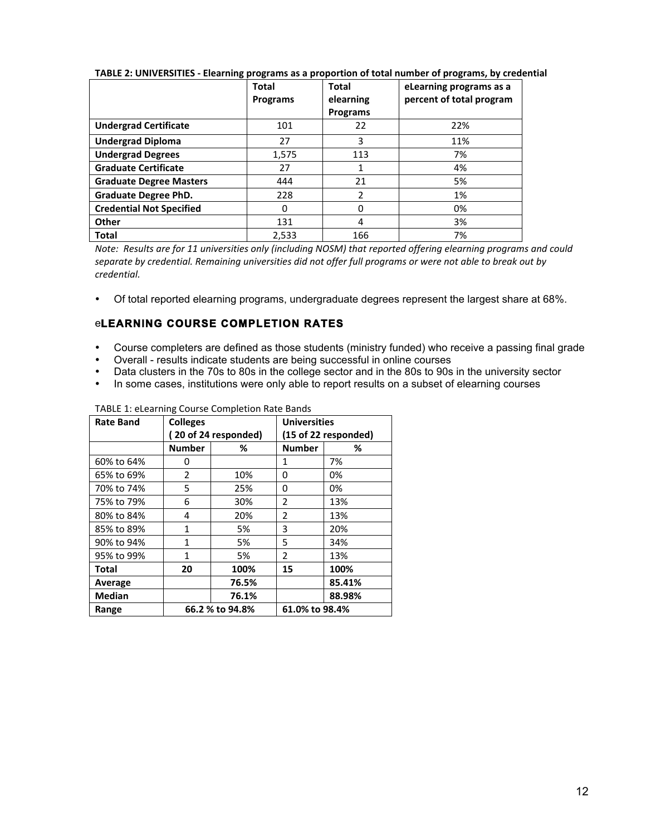|                                 | <b>Total</b><br><b>Programs</b> | <b>Total</b><br>elearning | eLearning programs as a<br>percent of total program |
|---------------------------------|---------------------------------|---------------------------|-----------------------------------------------------|
|                                 |                                 | Programs                  |                                                     |
| <b>Undergrad Certificate</b>    | 101                             | 22                        | 22%                                                 |
| <b>Undergrad Diploma</b>        | 27                              | 3                         | 11%                                                 |
| <b>Undergrad Degrees</b>        | 1.575                           | 113                       | 7%                                                  |
| <b>Graduate Certificate</b>     | 27                              |                           | 4%                                                  |
| <b>Graduate Degree Masters</b>  | 444                             | 21                        | 5%                                                  |
| <b>Graduate Degree PhD.</b>     | 228                             | $\overline{\phantom{a}}$  | 1%                                                  |
| <b>Credential Not Specified</b> | 0                               | $\Omega$                  | 0%                                                  |
| Other                           | 131                             | 4                         | 3%                                                  |
| <b>Total</b>                    | 2,533                           | 166                       | 7%                                                  |

TABLE 2: UNIVERSITIES - Elearning programs as a proportion of total number of programs, by credential

*Note: Results are for 11 universities only (including NOSM) that reported offering elearning programs and could separate'by'credential.'Remaining'universities'did'not'offer'full'programs'or'were'not'able'to'break'out'by' credential.*

• Of total reported elearning programs, undergraduate degrees represent the largest share at 68%.

# e**LEARNING COURSE COMPLETION RATES**

- Course completers are defined as those students (ministry funded) who receive a passing final grade
- Overall results indicate students are being successful in online courses
- Data clusters in the 70s to 80s in the college sector and in the 80s to 90s in the university sector<br>• In some cases, institutions were only able to report results on a subset of elearning courses
- In some cases, institutions were only able to report results on a subset of elearning courses

| <b>Rate Band</b> | <b>Colleges</b> |                      | <b>Universities</b><br>(15 of 22 responded) |        |  |
|------------------|-----------------|----------------------|---------------------------------------------|--------|--|
|                  |                 | (20 of 24 responded) |                                             |        |  |
|                  | <b>Number</b>   | %                    | <b>Number</b>                               | ℅      |  |
| 60% to 64%       | 0               |                      | 1                                           | 7%     |  |
| 65% to 69%       | 2               | 10%                  | 0                                           | 0%     |  |
| 70% to 74%       | 5               | 25%                  | 0                                           | 0%     |  |
| 75% to 79%       | 6               | 30%                  | 2                                           | 13%    |  |
| 80% to 84%       | 4               | 20%                  | $\overline{2}$                              | 13%    |  |
| 85% to 89%       | $\mathbf{1}$    | 5%                   | 3                                           | 20%    |  |
| 90% to 94%       | 1               | 5%                   | 5                                           | 34%    |  |
| 95% to 99%       | 1               | 5%                   | $\overline{2}$                              | 13%    |  |
| <b>Total</b>     | 20              | 100%                 | 15                                          | 100%   |  |
| Average          |                 | 76.5%                |                                             | 85.41% |  |
| <b>Median</b>    |                 | 76.1%                |                                             | 88.98% |  |
| Range            | 66.2 % to 94.8% |                      | 61.0% to 98.4%                              |        |  |

TABLE 1: eLearning Course Completion Rate Bands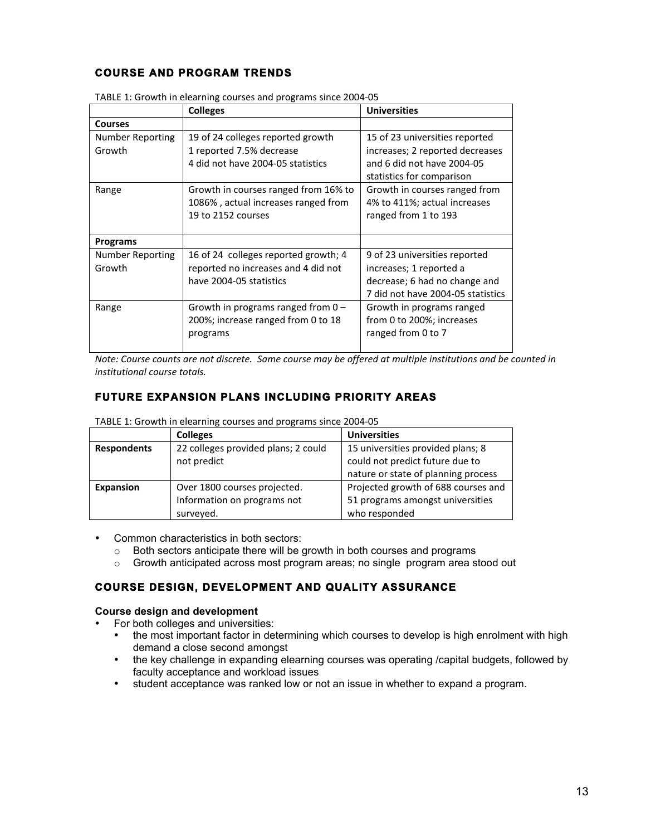# **COURSE AND PROGRAM TRENDS**

|                         | <b>Colleges</b>                      | <b>Universities</b>               |  |  |  |
|-------------------------|--------------------------------------|-----------------------------------|--|--|--|
| <b>Courses</b>          |                                      |                                   |  |  |  |
| Number Reporting        | 19 of 24 colleges reported growth    | 15 of 23 universities reported    |  |  |  |
| Growth                  | 1 reported 7.5% decrease             | increases; 2 reported decreases   |  |  |  |
|                         | 4 did not have 2004-05 statistics    | and 6 did not have 2004-05        |  |  |  |
|                         |                                      | statistics for comparison         |  |  |  |
| Range                   | Growth in courses ranged from 16% to | Growth in courses ranged from     |  |  |  |
|                         | 1086%, actual increases ranged from  | 4% to 411%; actual increases      |  |  |  |
|                         | 19 to 2152 courses                   | ranged from 1 to 193              |  |  |  |
|                         |                                      |                                   |  |  |  |
| <b>Programs</b>         |                                      |                                   |  |  |  |
| <b>Number Reporting</b> | 16 of 24 colleges reported growth; 4 | 9 of 23 universities reported     |  |  |  |
| Growth                  | reported no increases and 4 did not  | increases; 1 reported a           |  |  |  |
|                         | have 2004-05 statistics              | decrease; 6 had no change and     |  |  |  |
|                         |                                      | 7 did not have 2004-05 statistics |  |  |  |
| Range                   | Growth in programs ranged from $0 -$ | Growth in programs ranged         |  |  |  |
|                         | 200%; increase ranged from 0 to 18   | from 0 to 200%; increases         |  |  |  |
|                         | programs                             | ranged from 0 to 7                |  |  |  |
|                         |                                      |                                   |  |  |  |

TABLE 1: Growth in elearning courses and programs since 2004-05

*Note:'Course'counts'are'not'discrete.''Same'course'may'be'offered'at'multiple'institutions'and'be'counted'in' institutional'course'totals.*

# **FUTURE EXPANSION PLANS INCLUDING PRIORITY AREAS**

|                    | <b>Colleges</b>                     | <b>Universities</b>                 |  |  |
|--------------------|-------------------------------------|-------------------------------------|--|--|
| <b>Respondents</b> | 22 colleges provided plans; 2 could | 15 universities provided plans; 8   |  |  |
|                    | not predict                         | could not predict future due to     |  |  |
|                    |                                     | nature or state of planning process |  |  |
| <b>Expansion</b>   | Over 1800 courses projected.        | Projected growth of 688 courses and |  |  |
|                    | Information on programs not         | 51 programs amongst universities    |  |  |
|                    | surveyed.                           | who responded                       |  |  |

TABLE 1: Growth in elearning courses and programs since 2004-05

#### • Common characteristics in both sectors:

- o Both sectors anticipate there will be growth in both courses and programs
- $\circ$  Growth anticipated across most program areas; no single program area stood out

## **COURSE DESIGN, DEVELOPMENT AND QUALITY ASSURANCE**

### **Course design and development**

- For both colleges and universities:
	- the most important factor in determining which courses to develop is high enrolment with high demand a close second amongst
	- the key challenge in expanding elearning courses was operating /capital budgets, followed by faculty acceptance and workload issues
	- student acceptance was ranked low or not an issue in whether to expand a program.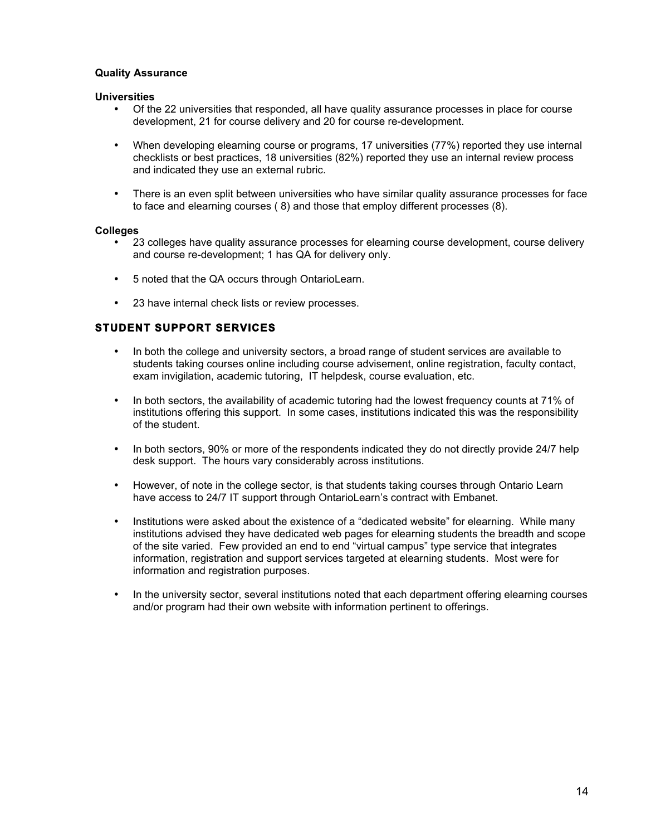### **Quality Assurance**

### **Universities**

- Of the 22 universities that responded, all have quality assurance processes in place for course development, 21 for course delivery and 20 for course re-development.
- When developing elearning course or programs, 17 universities (77%) reported they use internal checklists or best practices, 18 universities (82%) reported they use an internal review process and indicated they use an external rubric.
- There is an even split between universities who have similar quality assurance processes for face to face and elearning courses ( 8) and those that employ different processes (8).

### **Colleges**

- 23 colleges have quality assurance processes for elearning course development, course delivery and course re-development; 1 has QA for delivery only.
- 5 noted that the QA occurs through OntarioLearn.
- 23 have internal check lists or review processes.

# **STUDENT SUPPORT SERVICES**

- In both the college and university sectors, a broad range of student services are available to students taking courses online including course advisement, online registration, faculty contact, exam invigilation, academic tutoring, IT helpdesk, course evaluation, etc.
- In both sectors, the availability of academic tutoring had the lowest frequency counts at 71% of institutions offering this support. In some cases, institutions indicated this was the responsibility of the student.
- In both sectors, 90% or more of the respondents indicated they do not directly provide 24/7 help desk support. The hours vary considerably across institutions.
- However, of note in the college sector, is that students taking courses through Ontario Learn have access to 24/7 IT support through OntarioLearn's contract with Embanet.
- Institutions were asked about the existence of a "dedicated website" for elearning. While many institutions advised they have dedicated web pages for elearning students the breadth and scope of the site varied. Few provided an end to end "virtual campus" type service that integrates information, registration and support services targeted at elearning students. Most were for information and registration purposes.
- In the university sector, several institutions noted that each department offering elearning courses and/or program had their own website with information pertinent to offerings.